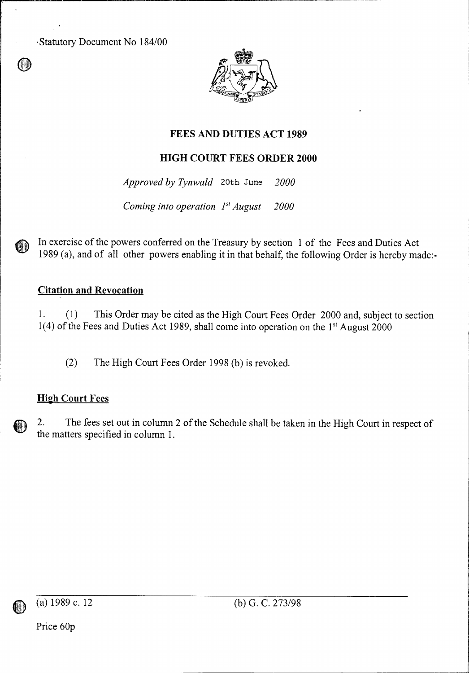Statutory Document No 184/00



# **FEES AND DUTIES ACT 1989**

## **HIGH COURT FEES ORDER 2000**

*Approved by Tynwald* 20th June *2000* 

*Coming into operation*  $1^{st}$  *August* 2000

In exercise of the powers conferred on the Treasury by section 1 of the Fees and Duties Act 1989 (a), and of all other powers enabling it in that behalf, the following Order is hereby made:-

## **Citation and Revocation**

1. (1) This Order may be cited as the High Court Fees Order 2000 and, subject to section 1(4) of the Fees and Duties Act 1989, shall come into operation on the 1' August 2000

(2) The High Court Fees Order 1998 (b) is revoked.

# **High Court Fees**

2. The fees set out in column 2 of the Schedule shall be taken in the High Court in respect of the matters specified in column 1.

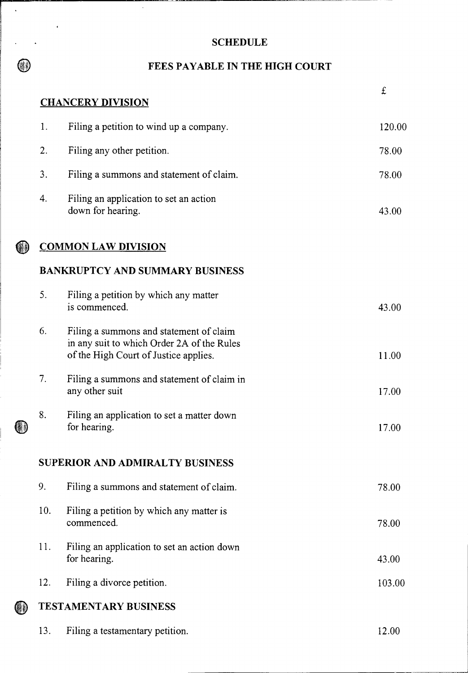# SCHEDULE

 $\mathbb{R}^2$ 

 $\bigcirc$ 

 $\mathcal{A}^{\mathcal{A}}_{\mathcal{A}}$  and  $\mathcal{A}^{\mathcal{A}}_{\mathcal{A}}$ 

 $\bar{\mathbf{z}}$ 

 $\bar{\mathcal{A}}$ 

# **ID FEES PAYABLE IN THE HIGH COURT**

|    |                                        |                                                                                                                                |  | £      |  |
|----|----------------------------------------|--------------------------------------------------------------------------------------------------------------------------------|--|--------|--|
|    |                                        | <b>CHANCERY DIVISION</b>                                                                                                       |  |        |  |
|    | 1.                                     | Filing a petition to wind up a company.                                                                                        |  | 120.00 |  |
|    | 2.                                     | Filing any other petition.                                                                                                     |  | 78.00  |  |
|    | 3.                                     | Filing a summons and statement of claim.                                                                                       |  | 78.00  |  |
|    | 4.                                     | Filing an application to set an action<br>down for hearing.                                                                    |  | 43.00  |  |
|    |                                        | <b>COMMON LAW DIVISION</b>                                                                                                     |  |        |  |
|    | <b>BANKRUPTCY AND SUMMARY BUSINESS</b> |                                                                                                                                |  |        |  |
|    | 5.                                     | Filing a petition by which any matter<br>is commenced.                                                                         |  | 43.00  |  |
|    | 6.                                     | Filing a summons and statement of claim<br>in any suit to which Order 2A of the Rules<br>of the High Court of Justice applies. |  | 11.00  |  |
|    | 7.                                     | Filing a summons and statement of claim in<br>any other suit                                                                   |  | 17.00  |  |
| UJ | 8.                                     | Filing an application to set a matter down<br>for hearing.                                                                     |  | 17.00  |  |
|    |                                        | SUPERIOR AND ADMIRALTY BUSINESS                                                                                                |  |        |  |
|    | 9.                                     | Filing a summons and statement of claim.                                                                                       |  | 78.00  |  |
|    | 10.                                    | Filing a petition by which any matter is<br>commenced.                                                                         |  | 78.00  |  |
|    | 11.                                    | Filing an application to set an action down<br>for hearing.                                                                    |  | 43.00  |  |
|    | 12.                                    | Filing a divorce petition.                                                                                                     |  | 103.00 |  |
| O  | <b>TESTAMENTARY BUSINESS</b>           |                                                                                                                                |  |        |  |
|    | 13.                                    | Filing a testamentary petition.                                                                                                |  | 12.00  |  |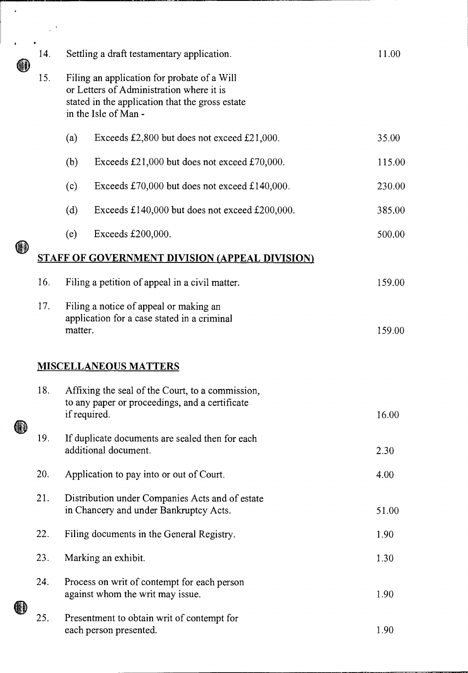|    | 14.                                                   | Settling a draft testamentary application.                                                                                                                         | 11.00  |
|----|-------------------------------------------------------|--------------------------------------------------------------------------------------------------------------------------------------------------------------------|--------|
|    | 15.                                                   | Filing an application for probate of a Will<br>or Letters of Administration where it is<br>stated in the application that the gross estate<br>in the Isle of Man - |        |
|    |                                                       | (a)<br>Exceeds £2,800 but does not exceed £21,000.                                                                                                                 | 35.00  |
|    |                                                       | (b)<br>Exceeds $£21,000$ but does not exceed £70,000.                                                                                                              | 115.00 |
|    |                                                       | (c)<br>Exceeds £70,000 but does not exceed £140,000.                                                                                                               | 230.00 |
|    |                                                       | (d)<br>Exceeds £140,000 but does not exceed £200,000.                                                                                                              | 385.00 |
|    |                                                       | (e)<br>Exceeds £200,000.                                                                                                                                           | 500.00 |
| WJ | <b>STAFF OF GOVERNMENT DIVISION (APPEAL DIVISION)</b> |                                                                                                                                                                    |        |
|    | 16.                                                   | Filing a petition of appeal in a civil matter.                                                                                                                     | 159.00 |
|    | 17.                                                   | Filing a notice of appeal or making an<br>application for a case stated in a criminal<br>matter.                                                                   | 159.00 |
|    | 18.                                                   | <b>MISCELLANEOUS MATTERS</b><br>Affixing the seal of the Court, to a commission.<br>to any paper or proceedings, and a certificate<br>if required.                 | 16.00  |
|    | 19.                                                   | If duplicate documents are sealed then for each<br>additional document.                                                                                            | 2.30   |
|    | 20.                                                   | Application to pay into or out of Court.                                                                                                                           | 4.00   |
|    | 21.                                                   | Distribution under Companies Acts and of estate<br>in Chancery and under Bankruptcy Acts.                                                                          | 51.00  |
|    | 22.                                                   | Filing documents in the General Registry.                                                                                                                          | 1.90   |
|    | 23.                                                   | Marking an exhibit.                                                                                                                                                | 1.30   |
|    | 24.                                                   | Process on writ of contempt for each person<br>against whom the writ may issue.                                                                                    | 1.90   |
|    | 25.                                                   | Presentment to obtain writ of contempt for<br>each person presented.                                                                                               | 1.90   |

 $\ddot{\phantom{0}}$ 

 $\frac{1}{2}$